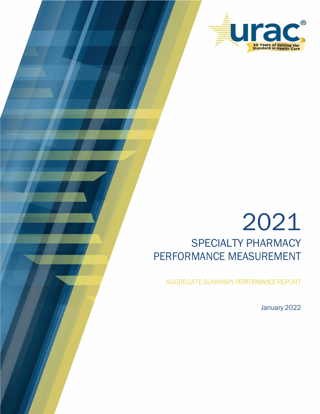

# 2021 SPECIALTY PHARMACY PERFORMANCE MEASUREMENT

AGGREGATE SUMMARY PERFORMANCE REPORT

January 2022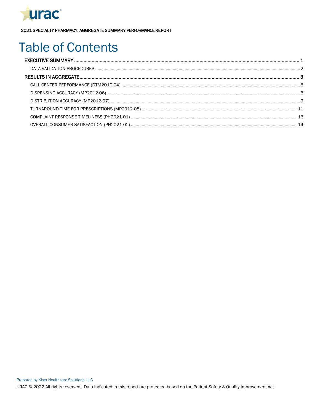

# **Table of Contents**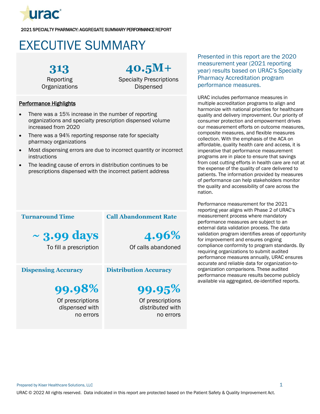

# <span id="page-2-0"></span>EXECUTIVE SUMMARY

**313** Reporting

**Organizations** 

# **40.5M+**

Specialty Prescriptions Dispensed

### Performance Highlights

- There was a 15% increase in the number of reporting organizations and specialty prescription dispensed volume increased from 2020
- There was a 94% reporting response rate for specialty pharmacy organizations
- Most dispensing errors are due to incorrect quantity or incorrect instructions
- The leading cause of errors in distribution continues to be prescriptions dispensed with the incorrect patient address

### **Turnaround Time**

**~ 3.99 days** To fill a prescription

### **Dispensing Accuracy**

**99.98%** Of prescriptions

*dispensed* with no errors

### **Call Abandonment Rate**

**4.96%** Of calls abandoned

### **Distribution Accuracy**

**99.95%**

Of prescriptions *distributed* with no errors

Presented in this report are the 2020 measurement year (2021 reporting year) results based on URAC's Specialty Pharmacy Accreditation program performance measures.

URAC includes performance measures in multiple accreditation programs to align and harmonize with national priorities for healthcare quality and delivery improvement. Our priority of consumer protection and empowerment drives our measurement efforts on outcome measures, composite measures, and flexible measures collection. With the emphasis of the ACA on affordable, quality health care and access, it is imperative that performance measurement programs are in place to ensure that savings from cost cutting efforts in health care are not at the expense of the quality of care delivered to patients. The information provided by measures of performance can help stakeholders monitor the quality and accessibility of care across the nation.

Performance measurement for the 2021 reporting year aligns with Phase 2 of URAC's measurement process where mandatory performance measures are subject to an external data validation process. The data validation program identifies areas of opportunity for improvement and ensures ongoing compliance conformity to program standards. By requiring organizations to submit audited performance measures annually, URAC ensures accurate and reliable data for organization-toorganization comparisons. These audited performance measure results become publicly available via aggregated, de-identified reports.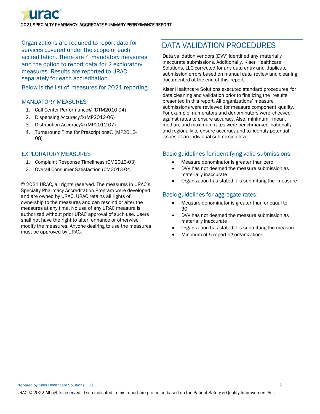

Organizations are required to report data for services covered under the scope of each accreditation. There are 4 mandatory measures and the option to report data for 2 exploratory measures. Results are reported to URAC separately for each accreditation.

Below is the list of measures for 2021 reporting.

### MANDATORY MEASURES

- 1. Call Center Performance© (DTM2010-04)
- 2. Dispensing Accuracy© (MP2012-06)
- 3. Distribution Accuracy© (MP2012-07)
- 4. Turnaround Time for Prescriptions© (MP2012- 08)

### EXPLORATORY MEASURES

- 1. Complaint Response Timeliness (CM2013-03)
- 2. Overall Consumer Satisfaction (CM2013-04)

© 2021 URAC, all rights reserved. The measures in URAC's Specialty Pharmacy Accreditation Program were developed and are owned by URAC. URAC retains all rights of ownership to the measures and can rescind or alter the measures at any time. No use of any URAC measure is authorized without prior URAC approval of such use. Users shall not have the right to alter, enhance or otherwise modify the measures. Anyone desiring to use the measures must be approved by URAC.

# <span id="page-3-0"></span>DATA VALIDATION PROCEDURES

Data validation vendors (DVV) identified any materially inaccurate submissions. Additionally, Kiser Healthcare Solutions, LLC corrected for any data entry and duplicate submission errors based on manual data review and cleaning, documented at the end of this report.

Kiser Healthcare Solutions executed standard procedures for data cleaning and validation prior to finalizing the results presented in this report. All organizations' measure submissions were reviewed for measure component quality. For example, numerators and denominators were checked against rates to ensure accuracy. Also, minimum, mean, median, and maximum rates were benchmarked nationally and regionally to ensure accuracy and to identify potential issues at an individual submission level.

### Basic guidelines for identifying valid submissions:

- Measure denominator is greater than zero
- DVV has not deemed the measure submission as materially inaccurate
- Organization has stated it is submitting the measure

### Basic guidelines for aggregate rates:

- Measure denominator is greater than or equal to  $30$
- DVV has not deemed the measure submission as materially inaccurate
- Organization has stated it is submitting the measure
- Minimum of 5 reporting organizations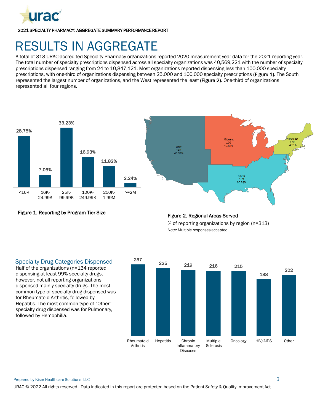

# <span id="page-4-0"></span>RESULTS IN AGGREGATE

A total of 313 URAC-accredited Specialty Pharmacy organizations reported 2020 measurement year data for the 2021 reporting year. The total number of specialty prescriptions dispensed across all specialty organizations was 40,569,221 with the number of specialty prescriptions dispensed ranging from 24 to 10,847,121. Most organizations reported dispensing less than 100,000 specialty prescriptions, with one-third of organizations dispensing between 25,000 and 100,000 specialty prescriptions (Figure 1). The South represented the largest number of organizations, and the West represented the least (Figure 2). One-third of organizations represented all four regions.





Figure 1. Reporting by Program Tier Size



% of reporting organizations by region (n=313) Note: Multiple responses accepted

### Specialty Drug Categories Dispensed

Half of the organizations (n=134 reported dispensing at least 99% specialty drugs, however, not all reporting organizations dispensed mainly specialty drugs. The most common type of specialty drug dispensed was for Rheumatoid Arthritis, followed by Hepatitis. The most common type of "Other" specialty drug dispensed was for Pulmonary, followed by Hemophilia.

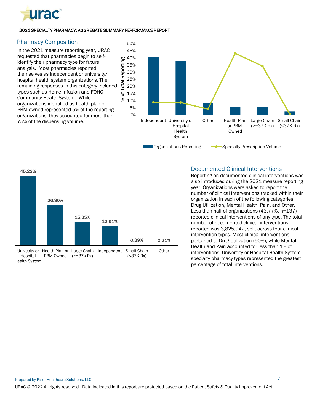

### Pharmacy Composition

In the 2021 measure reporting year, URAC requested that pharmacies begin to selfidentify their pharmacy type for future analysis. Most pharmacies reported themselves as independent or university/ hospital health system organizations. The remaining responses in this category included types such as Home Infusion and FQHC Community Health System. While organizations identified as health plan or PBM-owned represented 5% of the reporting organizations, they accounted for more than 75% of the dispensing volume.





### Documented Clinical Interventions

Reporting on documented clinical interventions was also introduced during the 2021 measure reporting year. Organizations were asked to report the number of clinical interventions tracked within their organization in each of the following categories: Drug Utilization, Mental Health, Pain, and Other. Less than half of organizations (43.77%, n=137) reported clinical interventions of any type. The total number of documented clinical interventions reported was 3,825,942, split across four clinical intervention types. Most clinical interventions pertained to Drug Utilization (90%), while Mental Health and Pain accounted for less than 1% of interventions. University or Hospital Health System specialty pharmacy types represented the greatest percentage of total interventions.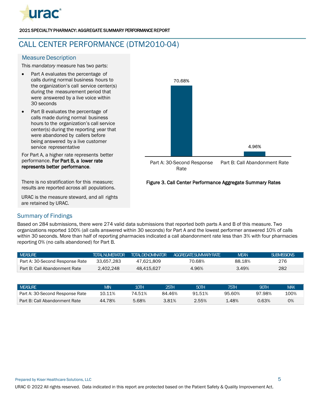

# <span id="page-6-0"></span>CALL CENTER PERFORMANCE (DTM2010-04)

### **Measure Description**

This *mandatory* measure has two parts:

- Part A evaluates the percentage of calls during normal business hours to the organization's call service center(s) during the measurement period that were answered by a live voice within 30 seconds
- Part B evaluates the percentage of calls made during normal business hours to the organization's call service center(s) during the reporting year that were abandoned by callers before being answered by a live customer service representative

For Part A, a higher rate represents better performance. For Part B, a lower rate represents better performance.

There is no stratification for this measure; results are reported across all populations.

URAC is the measure steward, and all rights are retained by URAC.



### Figure 3. Call Center Performance Aggregate Summary Rates

### Summary of Findings

Based on 284 submissions, there were 274 valid data submissions that reported both parts A and B of this measure. Two organizations reported 100% (all calls answered within 30 seconds) for Part A and the lowest performer answered 10% of calls within 30 seconds. More than half of reporting pharmacies indicated a call abandonment rate less than 3% with four pharmacies reporting 0% (no calls abandoned) for Part B.

| I MEASURE                       | <b>TOTAL NUMERATOR</b> | <b>TOTAL DENOMINATOR</b> | AGGRFGATFSLIMMARYRATF | <b>MFAN</b> | SUBMISSIONS |
|---------------------------------|------------------------|--------------------------|-----------------------|-------------|-------------|
| Part A: 30-Second Response Rate | 33.657.283             | 47.621.809               | 70.68%                | 88.18%      | 276         |
| Part B: Call Abandonment Rate   | 2.402.248              | 48.415.627               | 4.96%                 | 3.49%       | 282         |

| <b>NEASURE</b>                  | <b>MIN</b> | 10ΤΗ   | 25TH   | 50TH   | 75TH     | 90TH     | <b>MAX</b> |
|---------------------------------|------------|--------|--------|--------|----------|----------|------------|
| Part A: 30-Second Response Rate | 10.11%     | 74.51% | 84.46% | 91.51% | 95.60%   | 97.98%   | 100%       |
| Part B: Call Abandonment Rate   | 44.78%     | 5.68%  | 3.81%  | 2.55%  | $4.48\%$ | $0.63\%$ | 0%         |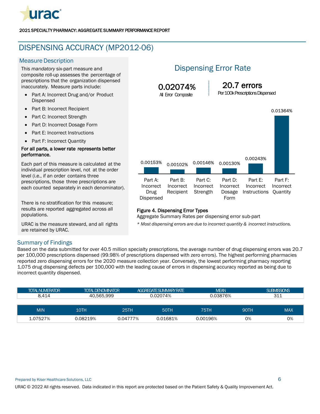

## <span id="page-7-0"></span>DISPENSING ACCURACY (MP2012-06)

### **Measure Description**

This *mandatory* six-part measure and composite roll-up assesses the percentage of prescriptions that the organization dispensed inaccurately. Measure parts include:

- Part A: Incorrect Drug and/or Product Dispensed
- Part B: Incorrect Recipient
- Part C: Incorrect Strength
- Part D: Incorrect Dosage Form
- Part E: Incorrect Instructions
- Part F: Incorrect Quantity

#### For all parts, a lower rate represents better performance.

Each part of this measure is calculated at the individual prescription level, not at the order level (i.e., if an order contains three prescriptions, those three prescriptions are each counted separately in each denominator).

There is no stratification for this measure; results are reported aggregated across all populations.

URAC is the measure steward, and all rights are retained by URAC.

## Dispensing Error Rate



### Figure 4. Dispensing Error Types

Aggregate Summary Rates per dispensing error sub-part

*\* Most dispensing errors are due to incorrect quantity & incorrect instructions.*

### Summary of Findings

Based on the data submitted for over 40.5 million specialty prescriptions, the average number of drug dispensing errors was 20.7 per 100,000 prescriptions dispensed (99.98% of prescriptions dispensed with zero errors). The highest performing pharmacies reported zero dispensing errors for the 2020 measure collection year. Conversely, the lowest performing pharmacy reporting 1,075 drug dispensing defects per 100,000 with the leading cause of errors in dispensing accuracy reported as being due to incorrect quantity dispensed.

| <b>TOTAL NUMERATOR</b> | <b>TOTAL DENOMINATOR</b> |          | <b>AGGREGATE SUMMARY RATE</b> | <b>MEAN</b> |             | <b>SUBMISSIONS</b> |
|------------------------|--------------------------|----------|-------------------------------|-------------|-------------|--------------------|
| 8.414                  | 40.565.999               |          | 0.02074%                      | 0.03876%    |             | 311                |
|                        |                          |          |                               |             |             |                    |
| <b>MIN</b>             | 10TH                     | 25TH     | <b>50TH</b>                   | 75TH        | <b>90TH</b> | <b>MAX</b>         |
| 1.07527%               | 0.08219%                 | 0.04777% | 0.01681%                      | 0.00196%    | 0%          | 0%                 |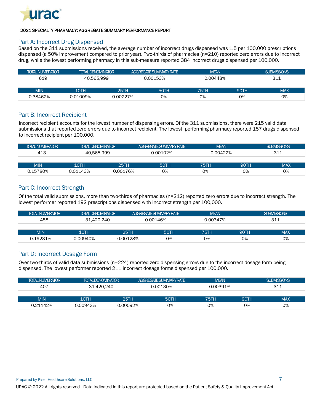

### Part A: Incorrect Drug Dispensed

Based on the 311 submissions received, the average number of incorrect drugs dispensed was 1.5 per 100,000 prescriptions dispensed (a 50% improvement compared to prior year). Two-thirds of pharmacies (n=210) reported zero errors due to incorrect drug, while the lowest performing pharmacy in this sub-measure reported 384 incorrect drugs dispensed per 100,000.

| <b>TOTAL NUMERATOR</b> | <b>TOTAL DENOMINATOR</b> |          | <b>AGGREGATE SUMMARY RATE</b> | <b>MEAN</b> |             | <b>SUBMISSIONS</b> |
|------------------------|--------------------------|----------|-------------------------------|-------------|-------------|--------------------|
| 619                    | 40.565.999               |          | 0.00153%<br>0.00448%          |             |             | 311                |
|                        |                          |          |                               |             |             |                    |
| <b>MIN</b>             | 10TH                     | 25TH     | 50TH                          | 75TH        | <b>90TH</b> | <b>MAX</b>         |
| 0.38462%               | 0.01009%                 | 0.00227% | 0%                            | 0%          | 0%          | 0%                 |

### Part B: Incorrect Recipient

Incorrect recipient accounts for the lowest number of dispensing errors. Of the 311 submissions, there were 215 valid data submissions that reported zero errors due to incorrect recipient. The lowest performing pharmacy reported 157 drugs dispensed to incorrect recipient per 100,000.

| <b>TOTAL NUMERATOR</b> | <b>TOTAL DENOMINATOR</b> |          | AGGREGATE SUMMARY RATE | <b>MEAN</b> |             | <b>SUBMISSIONS</b> |
|------------------------|--------------------------|----------|------------------------|-------------|-------------|--------------------|
| 413                    | 40.565.999               |          | 0.00102%               | 0.00422%    |             | 311                |
|                        |                          |          |                        |             |             |                    |
| <b>MIN</b>             | 10TH                     | 25TH     | <b>50TH</b>            | <b>75TH</b> | <b>90TH</b> | <b>MAX</b>         |
| 0.15780%               | 0.01143%                 | 0.00176% | 0%                     | 0%          | 0%          | 0%                 |

### Part C: Incorrect Strength

Of the total valid submissions, more than two-thirds of pharmacies (n=212) reported zero errors due to incorrect strength. The lowest performer reported 192 prescriptions dispensed with incorrect strength per 100,000.

| <b>TOTAL NUMERATOR</b> | <b>TOTAL DENOMINATOR</b> |             | AGGREGATE SUMMARY RATE | <b>MEAN</b> |      | SUBMISSIONS |
|------------------------|--------------------------|-------------|------------------------|-------------|------|-------------|
| 458                    | 31.420.240               |             | 0.00146%               | 0.00347%    |      | 311         |
|                        |                          |             |                        |             |      |             |
| <b>MIN</b>             | 10TH                     | <b>25TH</b> | <b>50TH</b>            | 75TH        | 90TH | <b>MAX</b>  |
| 0.19231%               | 0.00940%                 | 0.00128%    | 0%                     | 0%          | 0%   | 0%          |

### Part D: Incorrect Dosage Form

Over two-thirds of valid data submissions (n=224) reported zero dispensing errors due to the incorrect dosage form being dispensed. The lowest performer reported 211 incorrect dosage forms dispensed per 100,000.

| <b>TOTAL NUMERATOR</b> | <b>TOTAL DENOMINATOR</b> |             | AGGREGATE SUMMARY RATE | <b>MFAN</b> |      | <b>SUBMISSIONS</b> |
|------------------------|--------------------------|-------------|------------------------|-------------|------|--------------------|
| 407                    | 31.420.240               |             | 0.00130%               | 0.00391%    |      | 311                |
|                        |                          |             |                        |             |      |                    |
| <b>MIN</b>             | 10TH                     | <b>25TH</b> | <b>50TH</b>            | 75TH        | 90TH | <b>MAX</b>         |
| 0.21142%               | 0.00943%                 | 0.00092%    | 0%                     | 0%          | 0%   | 0%                 |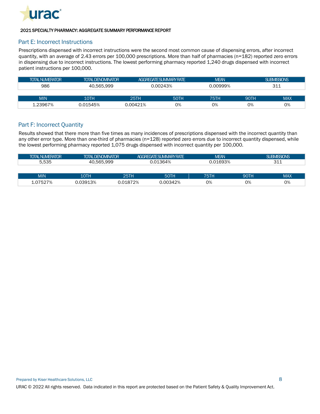

### Part E: Incorrect Instructions

Prescriptions dispensed with incorrect instructions were the second most common cause of dispensing errors, after incorrect quantity, with an average of 2.43 errors per 100,000 prescriptions. More than half of pharmacies (n=182) reported zero errors in dispensing due to incorrect instructions. The lowest performing pharmacy reported 1,240 drugs dispensed with incorrect patient instructions per 100,000.

| <b>TOTAL NUMERATOR</b> | <b>TOTAL DENOMINATOR</b> |          | AGGREGATE SUMMARY RATE | <b>MEAN</b> |             | <b>SUBMISSIONS</b> |
|------------------------|--------------------------|----------|------------------------|-------------|-------------|--------------------|
| 986                    | 40.565.999               |          | 0.00243%               |             |             | 311                |
|                        |                          |          |                        |             |             |                    |
| <b>MIN</b>             | 10TH                     | 25TH     | <b>50TH</b>            | <b>75TH</b> | <b>90TH</b> | <b>MAX</b>         |
| 1.23967%               | 0.01545%                 | 0.00421% | 0%                     | 0%          | 0%          | 0%                 |

### Part F: Incorrect Quantity

Results showed that there more than five times as many incidences of prescriptions dispensed with the incorrect quantity than any other error type. More than one-third of pharmacies (n=128) reported zero errors due to incorrect quantity dispensed, while the lowest performing pharmacy reported 1,075 drugs dispensed with incorrect quantity per 100,000.

| <b>TOTAL NUMERATOR</b> | <b>TOTAL DENOMINATOR</b> |             | <b>AGGREGATE SUMMARY RATE</b> | <b>MEAN</b> |             | <b>SUBMISSIONS</b> |
|------------------------|--------------------------|-------------|-------------------------------|-------------|-------------|--------------------|
| 5,535                  | 40.565.999               |             | 0.01364%                      | 0.01693%    |             | 311                |
|                        |                          |             |                               |             |             |                    |
| <b>MIN</b>             | 10TH                     | <b>25TH</b> | <b>50TH</b>                   | 75TH        | <b>90TH</b> | <b>MAX</b>         |
| 1.07527%               | 0.03913%                 | 0.01872%    | 0.00342%                      | 0%          | 0%          | 0%                 |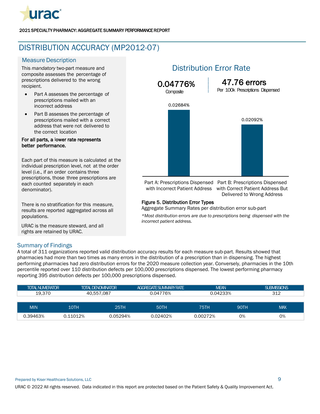

## <span id="page-10-0"></span>DISTRIBUTION ACCURACY (MP2012-07)

### **Measure Description**

This *mandatory* two-part measure and composite assesses the percentage of prescriptions delivered to the wrong recipient.

- Part A assesses the percentage of prescriptions mailed with an incorrect address
- Part B assesses the percentage of prescriptions mailed with a correct address that were not delivered to the correct location

### For all parts, a lower rate represents better performance.

Each part of this measure is calculated at the individual prescription level, not at the order level (i.e., if an order contains three prescriptions, those three prescriptions are each counted separately in each denominator).

There is no stratification for this measure, results are reported aggregated across all populations.

URAC is the measure steward, and all rights are retained by URAC.

### Distribution Error Rate



Part A: Prescriptions Dispensed Part B: Prescriptions Dispensed with Incorrect Patient Address with Correct Patient Address But Delivered to Wrong Address

### Figure 5. Distribution Error Types

Aggregate Summary Rates per distribution error sub-part

*\*Most distribution errors are due to prescriptions being dispensed with the incorrect patient address.*

### Summary of Findings

A total of 311 organizations reported valid distribution accuracy results for each measure sub-part. Results showed that pharmacies had more than two times as many errors in the distribution of a prescription than in dispensing. The highest performing pharmacies had zero distribution errors for the 2020 measure collection year. Conversely, pharmacies in the 10th percentile reported over 110 distribution defects per 100,000 prescriptions dispensed. The lowest performing pharmacy reporting 395 distribution defects per 100,000 prescriptions dispensed.

| <b>TOTAL NUMERATOR</b> |          | <b>TOTAL DENOMINATOR</b> | AGGREGATE SUMMARY RATE | <b>MEAN</b> |             | <b>SUBMISSIONS</b> |  |
|------------------------|----------|--------------------------|------------------------|-------------|-------------|--------------------|--|
| 19.370                 |          | 40.557.087               | 0.04776%               | 0.04233%    |             | 312                |  |
|                        |          |                          |                        |             |             |                    |  |
| <b>MIN</b>             | 10TH     | 25TH                     | <b>50TH</b>            | 75TH        | <b>90TH</b> | <b>MAX</b>         |  |
| 0.39463%               | 0.11012% | 0.05294%                 | 0.02402%               | 0.00272%    | 0%          | 0%                 |  |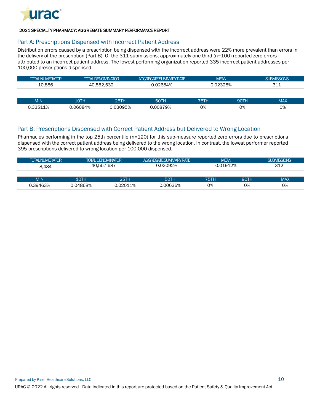

### Part A: Prescriptions Dispensed with Incorrect Patient Address

Distribution errors caused by a prescription being dispensed with the incorrect address were 22% more prevalent than errors in the delivery of the prescription (Part B). Of the 311 submissions, approximately one-third (n=100) reported zero errors attributed to an incorrect patient address. The lowest performing organization reported 335 incorrect patient addresses per 100,000 prescriptions dispensed.

| <b>TOTAL NUMERATOR</b> |          | <b>AGGREGATE SUMMARY RATE</b><br><b>TOTAL DENOMINATOR</b> |             | <b>MEAN</b> |      | <b>SUBMISSIONS</b> |  |
|------------------------|----------|-----------------------------------------------------------|-------------|-------------|------|--------------------|--|
| 10.886                 |          | 40.552.532                                                | 0.02684%    | 0.02328%    |      | 311                |  |
|                        |          |                                                           |             |             |      |                    |  |
| <b>MIN</b>             | 10TH     | <b>25TH</b>                                               | <b>50TH</b> | <b>75TH</b> | 90TH | <b>MAX</b>         |  |
| 0.33511%               | 0.06084% | 0.03095%                                                  | 0.00879%    | 0%          | 0%   | 0%                 |  |

### Part B: Prescriptions Dispensed with Correct Patient Address but Delivered to Wrong Location

Pharmacies performing in the top 25th percentile (n=120) for this sub-measure reported zero errors due to prescriptions dispensed with the correct patient address being delivered to the wrong location. In contrast, the lowest performer reported 395 prescriptions delivered to wrong location per 100,000 dispensed.

| <b>TOTAL NUMERATOR</b> |          | <b>TOTAL DENOMINATOR</b> | <b>AGGREGATE SUMMARY RATE</b> | <b>MEAN</b> |      | <b>SUBMISSIONS</b> |
|------------------------|----------|--------------------------|-------------------------------|-------------|------|--------------------|
| 8.484                  |          | 40.557.687               | 0.02092%                      | 0.01912%    |      | 312                |
|                        |          |                          |                               |             |      |                    |
| <b>MIN</b>             | 10TH     | <b>25TH</b>              | 50TH                          | 75TH        | 90TH | <b>MAX</b>         |
| 0.39463%               | 0.04868% | 0.02011%                 | 0.00636%                      | 0%          | 0%   | 0%                 |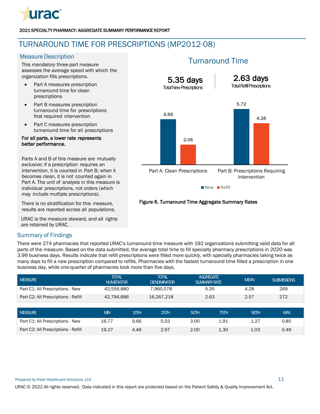

# <span id="page-12-0"></span>TURNAROUND TIME FOR PRESCRIPTIONS (MP2012-08)

### **Measure Description**

This *mandatory* three-part measure assesses the average speed with which the organization fills prescriptions.

- Part A measures prescription turnaround time for clean prescriptions
- Part B measures prescription turnaround time for prescriptions that required intervention
- Part C measures prescription turnaround time for all prescriptions

### For all parts, a lower rate represents better performance.

Parts A and B of this measure are mutually exclusive; if a prescription requires an intervention, it is counted in Part B; when it becomes clean, it is not counted again in Part A. The unit of analysis in this measure is individual prescriptions, not orders (which may include multiple prescriptions).

There is no stratification for this measure, results are reported across all populations.

URAC is the measure steward, and all rights are retained by URAC.

### Summary of Findings

There were 274 pharmacies that reported URAC's turnaround time measure with 192 organizations submitting valid data for all parts of the measure. Based on the data submitted, the average total time to fill specialty pharmacy prescriptions in 2020 was 3.99 business days. Results indicate that refill prescriptions were filled more quickly, with specialty pharmacies taking twice as many days to fill a new prescription compared to refills. Pharmacies with the fastest turnaround time filled a prescription in one business day, while one-quarter of pharmacies took more than five days.

| <b>MEASURE</b>                      | <b>TOTAL</b><br><b>NUMERATOR</b> |      | <b>TOTAL</b><br><b>DENOMINATOR</b> | <b>AGGREGATE</b><br><b>SUMMARY RATE</b> |      | <b>MEAN</b> | <b>SUBMISSIONS</b> |
|-------------------------------------|----------------------------------|------|------------------------------------|-----------------------------------------|------|-------------|--------------------|
| Part C1: All Prescriptions - New    | 42,556,880                       |      | 7,960,578                          | 5.35                                    |      | 4.28        | 269                |
| Part C2: All Prescriptions - Refill | 42,794,686                       |      | 16.267.218                         | 2.63                                    |      | 2.57        | 272                |
|                                     |                                  |      |                                    |                                         |      |             |                    |
| <b>MEASURE</b>                      | <b>MIN</b>                       | 10TH | 25TH                               | 50TH                                    | 75TH | 90TH        | <b>MAX</b>         |
| Part C1: All Prescriptions - New    | 16.77                            | 9.66 | 5.03                               | 3.00                                    | 1.91 | 1.27        | 0.85               |
| Part C2: All Prescriptions - Refill | 19.27                            | 4.46 | 2.97                               | 2.00                                    | 1.30 | 1.03        | 0.49               |

# Turnaround Time



### Figure 6. Turnaround Time Aggregate Summary Rates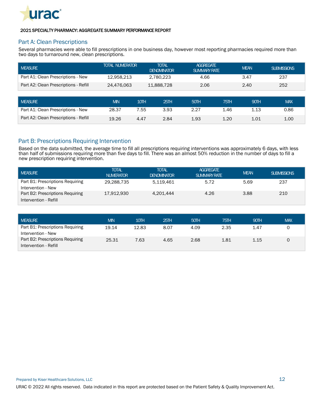

### Part A: Clean Prescriptions

Several pharmacies were able to fill prescriptions in one business day, however most reporting pharmacies required more than two days to turnaround new, clean prescriptions.

| <b>MEASURE</b>                        | <b>TOTAL NUMERATOR</b> |      | <b>TOTAL</b><br><b>DENOMINATOR</b> | <b>AGGREGATE</b><br><b>SUMMARY RATE</b> |      | <b>MEAN</b> | <b>SUBMISSIONS</b> |
|---------------------------------------|------------------------|------|------------------------------------|-----------------------------------------|------|-------------|--------------------|
| Part A1: Clean Prescriptions - New    | 12.958.213             |      | 2.780.223                          | 4.66                                    |      | 3.47        | 237                |
| Part A2: Clean Prescriptions - Refill | 24.476.063             |      | 11.888.728                         | 2.06                                    |      | 2.40        | 252                |
|                                       |                        |      |                                    |                                         |      |             |                    |
| <b>MEASURE</b>                        | <b>MIN</b>             | 10TH | 25TH                               | 50TH                                    | 75TH | 90TH        | <b>MAX</b>         |
| Part A1: Clean Prescriptions - New    | 28.37                  | 7.55 | 3.93                               | 2.27                                    | 1.46 | 1.13        | 0.86               |
| Part A2: Clean Prescriptions - Refill | 19.26                  | 4.47 | 2.84                               | 1.93                                    | 1.20 | 1.01        | 1.00               |

### Part B: Prescriptions Requiring Intervention

Based on the data submitted, the average time to fill all prescriptions requiring interventions was approximately 6 days, with less than half of submissions requiring more than five days to fill. There was an almost 50% reduction in the number of days to fill a new prescription requiring intervention.

| <b>MEASURE</b>                                            | <b>TOTAL</b><br><b>NUMERATOR</b> | <b>TOTAL</b><br><b>DENOMINATOR</b> | <b>AGGREGATE</b><br><b>SUMMARY RATE</b> | <b>MEAN</b> | <b>SUBMISSIONS</b> |
|-----------------------------------------------------------|----------------------------------|------------------------------------|-----------------------------------------|-------------|--------------------|
| Part B1: Prescriptions Requiring<br>Intervention - New    | 29,288,735                       | 5.119.461                          | 5.72                                    | 5.69        | 237                |
| Part B2: Prescriptions Requiring<br>Intervention - Refill | 17.912.930                       | 4.201.444                          | 4.26                                    | 3.88        | 210                |

| <b>I MEASURE</b>                 | <b>MIN</b> | 10TH  | 25TH | 50TH | 75TH | 90TH | <b>MAX</b> |
|----------------------------------|------------|-------|------|------|------|------|------------|
| Part B1: Prescriptions Requiring | 19.14      | 12.83 | 8.07 | 4.09 | 2.35 | 1.47 |            |
| Intervention - New               |            |       |      |      |      |      |            |
| Part B2: Prescriptions Requiring | 25.31      | 7.63  | 4.65 | 2.68 | 1.81 | 1.15 |            |
| Intervention - Refill            |            |       |      |      |      |      |            |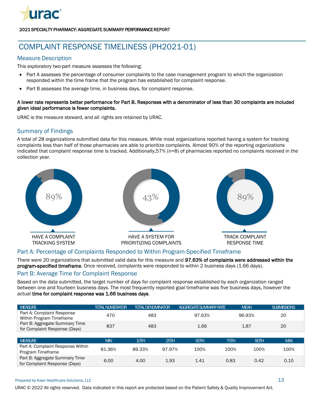

# <span id="page-14-0"></span>COMPLAINT RESPONSE TIMELINESS (PH2021-01)

### **Measure Description**

This *exploratory* two-part measure assesses the following:

- Part A assesses the percentage of consumer complaints to the case management program to which the organization responded within the time frame that the program has established for complaint response.
- Part B assesses the average time, in business days, for complaint response.

### A lower rate represents better performance for Part B. Responses with a denominator of less than 30 complaints are included given ideal performance is fewer complaints.

URAC is the measure steward, and all rights are retained by URAC.

### Summary of Findings

A total of 28 organizations submitted data for this measure. While most organizations reported having a system for tracking complaints less than half of those pharmacies are able to prioritize complaints. Almost 90% of the reporting organizations indicated that complaint response time is tracked. Additionally,57% (n=8) of pharmacies reported no complaints received in the collection year.



### Part A: Percentage of Complaints Responded to Within Program-Specified Timeframe

There were 20 organizations that submitted valid data for this measure and 97.63% of complaints were addressed within the program-specified timeframe. Once received, complaints were responded to within 2 business days (1.66 days).

### Part B: Average Time for Complaint Response

Based on the data submitted, the target number of days for complaint response established by each organization ranged between one and fourteen business days. The most frequently reported goal timeframe was five business days, however the actual time for complaint response was 1.66 business days.

| <b>MEASURE</b>                                                  | <b>TOTAL NUMERATOR</b> | <b>TOTAL DENOMINATOR</b> |        | AGGREGATE SUMMARY RATE |             | <b>MEAN</b> | <b>SUBMISSIONS</b> |
|-----------------------------------------------------------------|------------------------|--------------------------|--------|------------------------|-------------|-------------|--------------------|
| Part A: Complaint Response<br>Within Program Timeframe          | 470                    | 483                      |        | 97.63%                 |             | 96.93%      | 20                 |
| Part B: Aggregate Summary Time<br>for Complaint Response (Days) | 837                    | 483                      |        | 1.66                   |             | 1.87        | 20                 |
|                                                                 |                        |                          |        |                        |             |             |                    |
| <b>MEASURE</b>                                                  | <b>MIN</b>             | 10TH                     | 25TH   | 50TH                   | <b>75TH</b> | 90TH        | <b>MAX</b>         |
| Part A: Complaint Response Within<br>Program Timeframe          | 81.36%                 | 89.33%                   | 97.97% | 100%                   | 100%        | 100%        | 100%               |
| Part B: Aggregate Summary Time<br>for Complaint Response (Days) | 6.00                   | 4.00                     | 1.93   | 1.41                   | 0.83        | 0.42        | 0.10               |

#### Prepared by Kiser Healthcare Solutions, LLC 13